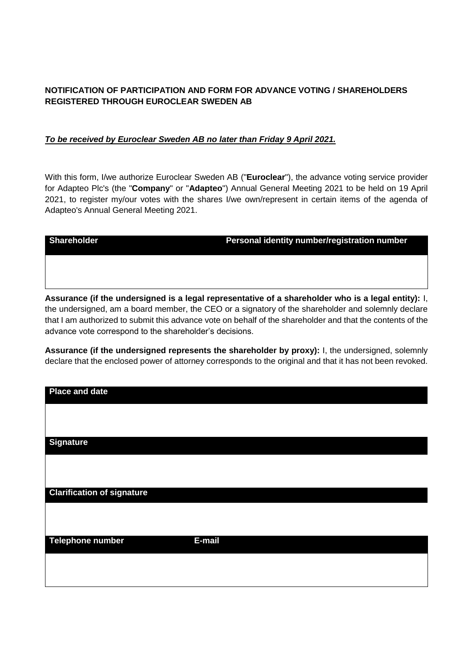## **NOTIFICATION OF PARTICIPATION AND FORM FOR ADVANCE VOTING / SHAREHOLDERS REGISTERED THROUGH EUROCLEAR SWEDEN AB**

## *To be received by Euroclear Sweden AB no later than Friday 9 April 2021.*

With this form, I/we authorize Euroclear Sweden AB ("**Euroclear**"), the advance voting service provider for Adapteo Plc's (the "**Company**" or "**Adapteo**") Annual General Meeting 2021 to be held on 19 April 2021, to register my/our votes with the shares I/we own/represent in certain items of the agenda of Adapteo's Annual General Meeting 2021.

| Shareholder |
|-------------|
|-------------|

**Personal identity number/registration number** 

**Assurance (if the undersigned is a legal representative of a shareholder who is a legal entity):** I, the undersigned, am a board member, the CEO or a signatory of the shareholder and solemnly declare that I am authorized to submit this advance vote on behalf of the shareholder and that the contents of the advance vote correspond to the shareholder's decisions.

**Assurance (if the undersigned represents the shareholder by proxy):** I, the undersigned, solemnly declare that the enclosed power of attorney corresponds to the original and that it has not been revoked.

| Place and date                    |        |
|-----------------------------------|--------|
|                                   |        |
| <b>Signature</b>                  |        |
|                                   |        |
| <b>Clarification of signature</b> |        |
|                                   |        |
| Telephone number                  | E-mail |
|                                   |        |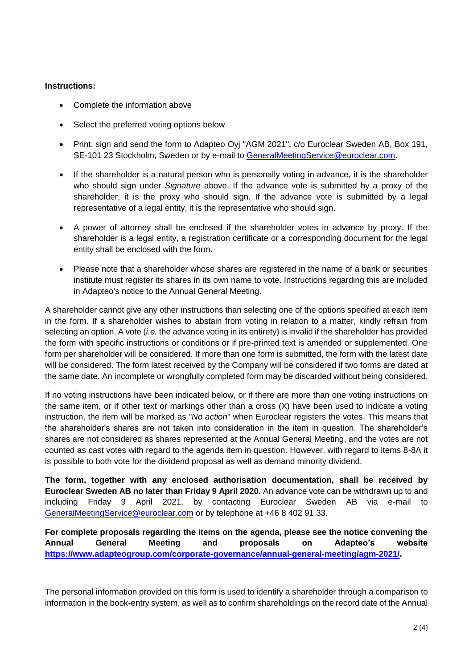## **Instructions:**

- Complete the information above
- Select the preferred voting options below
- Print, sign and send the form to Adapteo Ovi "AGM 2021", c/o Euroclear Sweden AB, Box 191, SE-101 23 Stockholm, Sweden or by e-mail to [GeneralMeetingService@euroclear.com.](mailto:GeneralMeetingService@euroclear.com)
- If the shareholder is a natural person who is personally voting in advance, it is the shareholder who should sign under *Signature* above. If the advance vote is submitted by a proxy of the shareholder, it is the proxy who should sign. If the advance vote is submitted by a legal representative of a legal entity, it is the representative who should sign.
- A power of attorney shall be enclosed if the shareholder votes in advance by proxy. If the shareholder is a legal entity, a registration certificate or a corresponding document for the legal entity shall be enclosed with the form.
- Please note that a shareholder whose shares are registered in the name of a bank or securities institute must register its shares in its own name to vote. Instructions regarding this are included in Adapteo's notice to the Annual General Meeting.

A shareholder cannot give any other instructions than selecting one of the options specified at each item in the form. If a shareholder wishes to abstain from voting in relation to a matter, kindly refrain from selecting an option. A vote (*i.e.* the advance voting in its entirety) is invalid if the shareholder has provided the form with specific instructions or conditions or if pre-printed text is amended or supplemented. One form per shareholder will be considered. If more than one form is submitted, the form with the latest date will be considered. The form latest received by the Company will be considered if two forms are dated at the same date. An incomplete or wrongfully completed form may be discarded without being considered.

If no voting instructions have been indicated below, or if there are more than one voting instructions on the same item, or if other text or markings other than a cross (X) have been used to indicate a voting instruction, the item will be marked as "*No action*" when Euroclear registers the votes. This means that the shareholder's shares are not taken into consideration in the item in question. The shareholder's shares are not considered as shares represented at the Annual General Meeting, and the votes are not counted as cast votes with regard to the agenda item in question. However, with regard to items 8-8A it is possible to both vote for the dividend proposal as well as demand minority dividend.

**The form, together with any enclosed authorisation documentation, shall be received by Euroclear Sweden AB no later than Friday 9 April 2020.** An advance vote can be withdrawn up to and including Friday 9 April 2021, by contacting Euroclear Sweden AB via e-mail to [GeneralMeetingService@euroclear.com](mailto:GeneralMeetingService@euroclear.com) or by telephone at +46 8 402 91 33.

**For complete proposals regarding the items on the agenda, please see the notice convening the Annual General Meeting and proposals on Adapteo's website [https://www.adapteogroup.com/corporate-governance/annual-general-meeting/agm-2021/.](https://www.adapteogroup.com/corporate-governance/annual-general-meeting/agm-2021/)**

The personal information provided on this form is used to identify a shareholder through a comparison to information in the book-entry system, as well as to confirm shareholdings on the record date of the Annual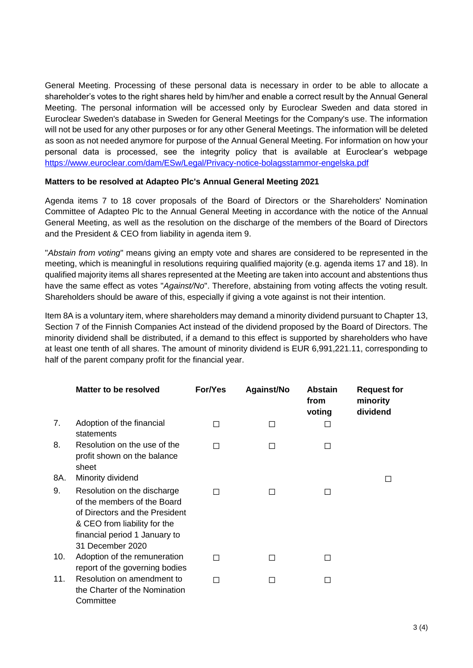General Meeting. Processing of these personal data is necessary in order to be able to allocate a shareholder's votes to the right shares held by him/her and enable a correct result by the Annual General Meeting. The personal information will be accessed only by Euroclear Sweden and data stored in Euroclear Sweden's database in Sweden for General Meetings for the Company's use. The information will not be used for any other purposes or for any other General Meetings. The information will be deleted as soon as not needed anymore for purpose of the Annual General Meeting. For information on how your personal data is processed, see the integrity policy that is available at Euroclear's webpage <https://www.euroclear.com/dam/ESw/Legal/Privacy-notice-bolagsstammor-engelska.pdf>

## **Matters to be resolved at Adapteo Plc's Annual General Meeting 2021**

Agenda items 7 to 18 cover proposals of the Board of Directors or the Shareholders' Nomination Committee of Adapteo Plc to the Annual General Meeting in accordance with the notice of the Annual General Meeting, as well as the resolution on the discharge of the members of the Board of Directors and the President & CEO from liability in agenda item 9.

"*Abstain from voting*" means giving an empty vote and shares are considered to be represented in the meeting, which is meaningful in resolutions requiring qualified majority (e.g. agenda items 17 and 18). In qualified majority items all shares represented at the Meeting are taken into account and abstentions thus have the same effect as votes "*Against/No*". Therefore, abstaining from voting affects the voting result. Shareholders should be aware of this, especially if giving a vote against is not their intention.

Item 8A is a voluntary item, where shareholders may demand a minority dividend pursuant to Chapter 13, Section 7 of the Finnish Companies Act instead of the dividend proposed by the Board of Directors. The minority dividend shall be distributed, if a demand to this effect is supported by shareholders who have at least one tenth of all shares. The amount of minority dividend is EUR 6,991,221.11, corresponding to half of the parent company profit for the financial year.

|     | Matter to be resolved                                                                                                                                                             | For/Yes | Against/No   | <b>Abstain</b><br>from<br>voting | <b>Request for</b><br>minority<br>dividend |
|-----|-----------------------------------------------------------------------------------------------------------------------------------------------------------------------------------|---------|--------------|----------------------------------|--------------------------------------------|
| 7.  | Adoption of the financial<br>statements                                                                                                                                           | П       |              |                                  |                                            |
| 8.  | Resolution on the use of the<br>profit shown on the balance<br>sheet                                                                                                              | П       | $\mathsf{L}$ |                                  |                                            |
| 8A. | Minority dividend                                                                                                                                                                 |         |              |                                  |                                            |
| 9.  | Resolution on the discharge<br>of the members of the Board<br>of Directors and the President<br>& CEO from liability for the<br>financial period 1 January to<br>31 December 2020 |         |              |                                  |                                            |
| 10. | Adoption of the remuneration<br>report of the governing bodies                                                                                                                    | П       |              | $\Box$                           |                                            |
| 11. | Resolution on amendment to<br>the Charter of the Nomination<br>Committee                                                                                                          | П       | $\mathbf{I}$ | П                                |                                            |